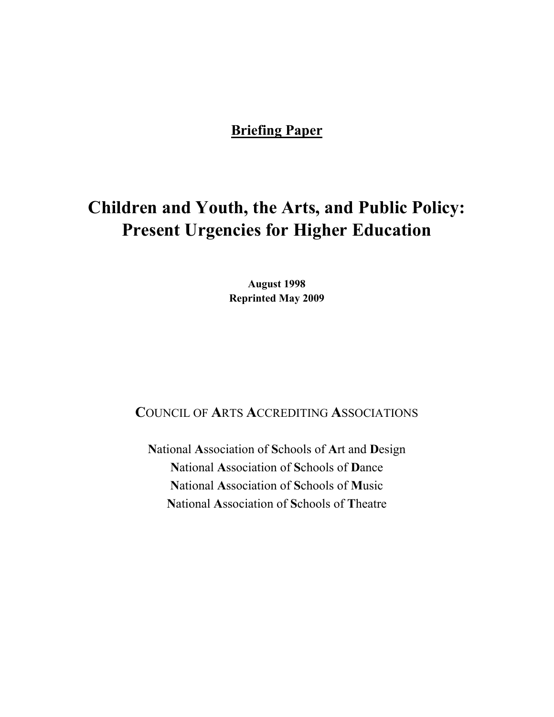## **Briefing Paper**

# **Children and Youth, the Arts, and Public Policy: Present Urgencies for Higher Education**

**August 1998 Reprinted May 2009** 

**COUNCIL OF ARTS ACCREDITING ASSOCIATIONS** 

National Association of Schools of Art and Design National Association of Schools of Dance National Association of Schools of Music National Association of Schools of Theatre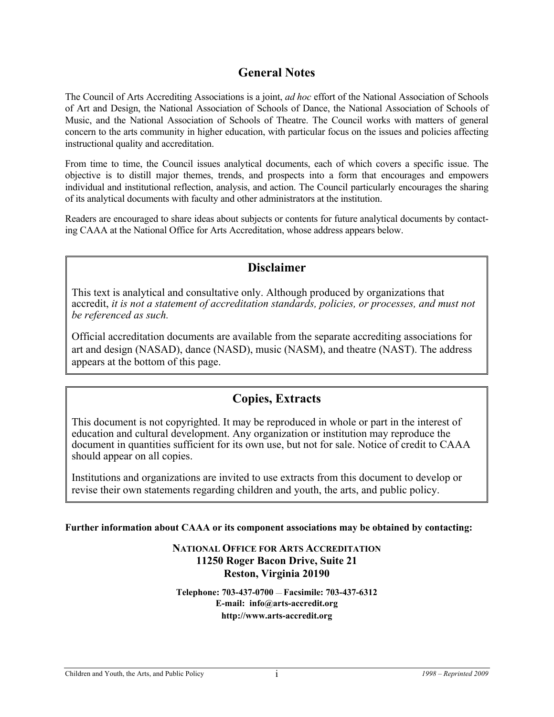## **General Notes**

The Council of Arts Accrediting Associations is a joint, *ad hoc* effort of the National Association of Schools of Art and Design, the National Association of Schools of Dance, the National Association of Schools of Music, and the National Association of Schools of Theatre. The Council works with matters of general concern to the arts community in higher education, with particular focus on the issues and policies affecting instructional quality and accreditation.

From time to time, the Council issues analytical documents, each of which covers a specific issue. The objective is to distill major themes, trends, and prospects into a form that encourages and empowers individual and institutional reflection, analysis, and action. The Council particularly encourages the sharing of its analytical documents with faculty and other administrators at the institution.

Readers are encouraged to share ideas about subjects or contents for future analytical documents by contacting CAAA at the National Office for Arts Accreditation, whose address appears below.

## **Disclaimer**

This text is analytical and consultative only. Although produced by organizations that accredit, *it is not a statement of accreditation standards, policies, or processes, and must not be referenced as such.* 

Official accreditation documents are available from the separate accrediting associations for art and design (NASAD), dance (NASD), music (NASM), and theatre (NAST). The address appears at the bottom of this page.

## **Copies, Extracts**

This document is not copyrighted. It may be reproduced in whole or part in the interest of education and cultural development. Any organization or institution may reproduce the document in quantities sufficient for its own use, but not for sale. Notice of credit to CAAA should appear on all copies.

Institutions and organizations are invited to use extracts from this document to develop or revise their own statements regarding children and youth, the arts, and public policy.

**Further information about CAAA or its component associations may be obtained by contacting:** 

#### **NATIONAL OFFICE FOR ARTS ACCREDITATION 11250 Roger Bacon Drive, Suite 21 Reston, Virginia 20190**

**Telephone: 703-437-0700** — **Facsimile: 703-437-6312 E-mail: info@arts-accredit.org http://www.arts-accredit.org**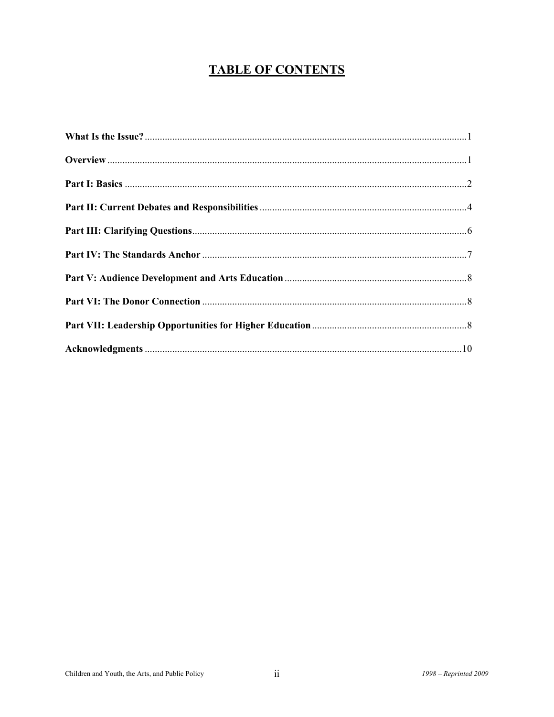## **TABLE OF CONTENTS**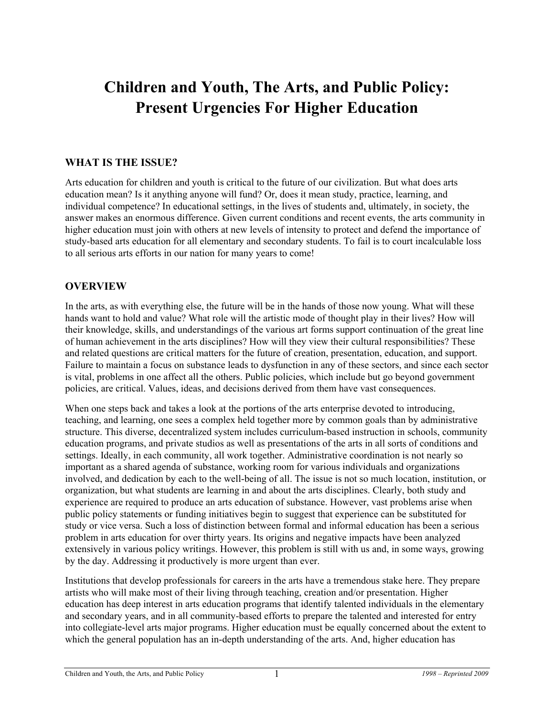## **Children and Youth, The Arts, and Public Policy: Present Urgencies For Higher Education**

#### **WHAT IS THE ISSUE?**

Arts education for children and youth is critical to the future of our civilization. But what does arts education mean? Is it anything anyone will fund? Or, does it mean study, practice, learning, and individual competence? In educational settings, in the lives of students and, ultimately, in society, the answer makes an enormous difference. Given current conditions and recent events, the arts community in higher education must join with others at new levels of intensity to protect and defend the importance of study-based arts education for all elementary and secondary students. To fail is to court incalculable loss to all serious arts efforts in our nation for many years to come!

#### **OVERVIEW**

In the arts, as with everything else, the future will be in the hands of those now young. What will these hands want to hold and value? What role will the artistic mode of thought play in their lives? How will their knowledge, skills, and understandings of the various art forms support continuation of the great line of human achievement in the arts disciplines? How will they view their cultural responsibilities? These and related questions are critical matters for the future of creation, presentation, education, and support. Failure to maintain a focus on substance leads to dysfunction in any of these sectors, and since each sector is vital, problems in one affect all the others. Public policies, which include but go beyond government policies, are critical. Values, ideas, and decisions derived from them have vast consequences.

When one steps back and takes a look at the portions of the arts enterprise devoted to introducing, teaching, and learning, one sees a complex held together more by common goals than by administrative structure. This diverse, decentralized system includes curriculum-based instruction in schools, community education programs, and private studios as well as presentations of the arts in all sorts of conditions and settings. Ideally, in each community, all work together. Administrative coordination is not nearly so important as a shared agenda of substance, working room for various individuals and organizations involved, and dedication by each to the well-being of all. The issue is not so much location, institution, or organization, but what students are learning in and about the arts disciplines. Clearly, both study and experience are required to produce an arts education of substance. However, vast problems arise when public policy statements or funding initiatives begin to suggest that experience can be substituted for study or vice versa. Such a loss of distinction between formal and informal education has been a serious problem in arts education for over thirty years. Its origins and negative impacts have been analyzed extensively in various policy writings. However, this problem is still with us and, in some ways, growing by the day. Addressing it productively is more urgent than ever.

Institutions that develop professionals for careers in the arts have a tremendous stake here. They prepare artists who will make most of their living through teaching, creation and/or presentation. Higher education has deep interest in arts education programs that identify talented individuals in the elementary and secondary years, and in all community-based efforts to prepare the talented and interested for entry into collegiate-level arts major programs. Higher education must be equally concerned about the extent to which the general population has an in-depth understanding of the arts. And, higher education has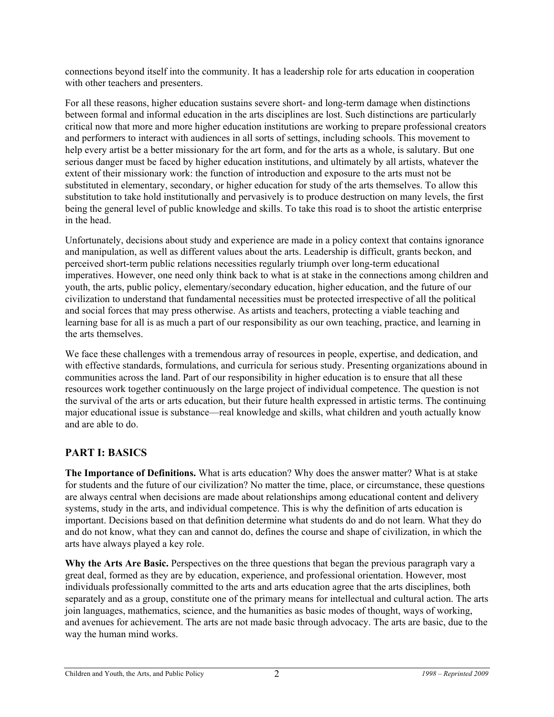connections beyond itself into the community. It has a leadership role for arts education in cooperation with other teachers and presenters.

For all these reasons, higher education sustains severe short- and long-term damage when distinctions between formal and informal education in the arts disciplines are lost. Such distinctions are particularly critical now that more and more higher education institutions are working to prepare professional creators and performers to interact with audiences in all sorts of settings, including schools. This movement to help every artist be a better missionary for the art form, and for the arts as a whole, is salutary. But one serious danger must be faced by higher education institutions, and ultimately by all artists, whatever the extent of their missionary work: the function of introduction and exposure to the arts must not be substituted in elementary, secondary, or higher education for study of the arts themselves. To allow this substitution to take hold institutionally and pervasively is to produce destruction on many levels, the first being the general level of public knowledge and skills. To take this road is to shoot the artistic enterprise in the head.

Unfortunately, decisions about study and experience are made in a policy context that contains ignorance and manipulation, as well as different values about the arts. Leadership is difficult, grants beckon, and perceived short-term public relations necessities regularly triumph over long-term educational imperatives. However, one need only think back to what is at stake in the connections among children and youth, the arts, public policy, elementary/secondary education, higher education, and the future of our civilization to understand that fundamental necessities must be protected irrespective of all the political and social forces that may press otherwise. As artists and teachers, protecting a viable teaching and learning base for all is as much a part of our responsibility as our own teaching, practice, and learning in the arts themselves.

We face these challenges with a tremendous array of resources in people, expertise, and dedication, and with effective standards, formulations, and curricula for serious study. Presenting organizations abound in communities across the land. Part of our responsibility in higher education is to ensure that all these resources work together continuously on the large project of individual competence. The question is not the survival of the arts or arts education, but their future health expressed in artistic terms. The continuing major educational issue is substance—real knowledge and skills, what children and youth actually know and are able to do.

## **PART I: BASICS**

**The Importance of Definitions.** What is arts education? Why does the answer matter? What is at stake for students and the future of our civilization? No matter the time, place, or circumstance, these questions are always central when decisions are made about relationships among educational content and delivery systems, study in the arts, and individual competence. This is why the definition of arts education is important. Decisions based on that definition determine what students do and do not learn. What they do and do not know, what they can and cannot do, defines the course and shape of civilization, in which the arts have always played a key role.

**Why the Arts Are Basic.** Perspectives on the three questions that began the previous paragraph vary a great deal, formed as they are by education, experience, and professional orientation. However, most individuals professionally committed to the arts and arts education agree that the arts disciplines, both separately and as a group, constitute one of the primary means for intellectual and cultural action. The arts join languages, mathematics, science, and the humanities as basic modes of thought, ways of working, and avenues for achievement. The arts are not made basic through advocacy. The arts are basic, due to the way the human mind works.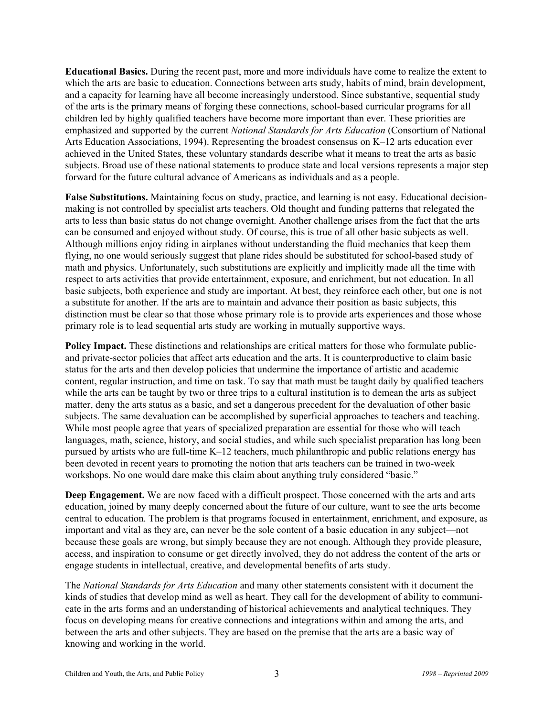**Educational Basics.** During the recent past, more and more individuals have come to realize the extent to which the arts are basic to education. Connections between arts study, habits of mind, brain development, and a capacity for learning have all become increasingly understood. Since substantive, sequential study of the arts is the primary means of forging these connections, school-based curricular programs for all children led by highly qualified teachers have become more important than ever. These priorities are emphasized and supported by the current *National Standards for Arts Education* (Consortium of National Arts Education Associations, 1994). Representing the broadest consensus on K–12 arts education ever achieved in the United States, these voluntary standards describe what it means to treat the arts as basic subjects. Broad use of these national statements to produce state and local versions represents a major step forward for the future cultural advance of Americans as individuals and as a people.

**False Substitutions.** Maintaining focus on study, practice, and learning is not easy. Educational decisionmaking is not controlled by specialist arts teachers. Old thought and funding patterns that relegated the arts to less than basic status do not change overnight. Another challenge arises from the fact that the arts can be consumed and enjoyed without study. Of course, this is true of all other basic subjects as well. Although millions enjoy riding in airplanes without understanding the fluid mechanics that keep them flying, no one would seriously suggest that plane rides should be substituted for school-based study of math and physics. Unfortunately, such substitutions are explicitly and implicitly made all the time with respect to arts activities that provide entertainment, exposure, and enrichment, but not education. In all basic subjects, both experience and study are important. At best, they reinforce each other, but one is not a substitute for another. If the arts are to maintain and advance their position as basic subjects, this distinction must be clear so that those whose primary role is to provide arts experiences and those whose primary role is to lead sequential arts study are working in mutually supportive ways.

**Policy Impact.** These distinctions and relationships are critical matters for those who formulate publicand private-sector policies that affect arts education and the arts. It is counterproductive to claim basic status for the arts and then develop policies that undermine the importance of artistic and academic content, regular instruction, and time on task. To say that math must be taught daily by qualified teachers while the arts can be taught by two or three trips to a cultural institution is to demean the arts as subject matter, deny the arts status as a basic, and set a dangerous precedent for the devaluation of other basic subjects. The same devaluation can be accomplished by superficial approaches to teachers and teaching. While most people agree that years of specialized preparation are essential for those who will teach languages, math, science, history, and social studies, and while such specialist preparation has long been pursued by artists who are full-time K–12 teachers, much philanthropic and public relations energy has been devoted in recent years to promoting the notion that arts teachers can be trained in two-week workshops. No one would dare make this claim about anything truly considered "basic."

**Deep Engagement.** We are now faced with a difficult prospect. Those concerned with the arts and arts education, joined by many deeply concerned about the future of our culture, want to see the arts become central to education. The problem is that programs focused in entertainment, enrichment, and exposure, as important and vital as they are, can never be the sole content of a basic education in any subject—not because these goals are wrong, but simply because they are not enough. Although they provide pleasure, access, and inspiration to consume or get directly involved, they do not address the content of the arts or engage students in intellectual, creative, and developmental benefits of arts study.

The *National Standards for Arts Education* and many other statements consistent with it document the kinds of studies that develop mind as well as heart. They call for the development of ability to communicate in the arts forms and an understanding of historical achievements and analytical techniques. They focus on developing means for creative connections and integrations within and among the arts, and between the arts and other subjects. They are based on the premise that the arts are a basic way of knowing and working in the world.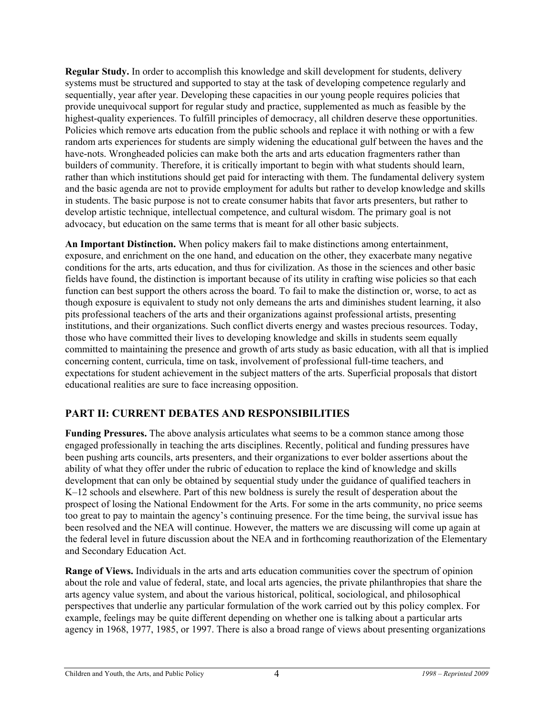**Regular Study.** In order to accomplish this knowledge and skill development for students, delivery systems must be structured and supported to stay at the task of developing competence regularly and sequentially, year after year. Developing these capacities in our young people requires policies that provide unequivocal support for regular study and practice, supplemented as much as feasible by the highest-quality experiences. To fulfill principles of democracy, all children deserve these opportunities. Policies which remove arts education from the public schools and replace it with nothing or with a few random arts experiences for students are simply widening the educational gulf between the haves and the have-nots. Wrongheaded policies can make both the arts and arts education fragmenters rather than builders of community. Therefore, it is critically important to begin with what students should learn, rather than which institutions should get paid for interacting with them. The fundamental delivery system and the basic agenda are not to provide employment for adults but rather to develop knowledge and skills in students. The basic purpose is not to create consumer habits that favor arts presenters, but rather to develop artistic technique, intellectual competence, and cultural wisdom. The primary goal is not advocacy, but education on the same terms that is meant for all other basic subjects.

**An Important Distinction.** When policy makers fail to make distinctions among entertainment, exposure, and enrichment on the one hand, and education on the other, they exacerbate many negative conditions for the arts, arts education, and thus for civilization. As those in the sciences and other basic fields have found, the distinction is important because of its utility in crafting wise policies so that each function can best support the others across the board. To fail to make the distinction or, worse, to act as though exposure is equivalent to study not only demeans the arts and diminishes student learning, it also pits professional teachers of the arts and their organizations against professional artists, presenting institutions, and their organizations. Such conflict diverts energy and wastes precious resources. Today, those who have committed their lives to developing knowledge and skills in students seem equally committed to maintaining the presence and growth of arts study as basic education, with all that is implied concerning content, curricula, time on task, involvement of professional full-time teachers, and expectations for student achievement in the subject matters of the arts. Superficial proposals that distort educational realities are sure to face increasing opposition.

## **PART II: CURRENT DEBATES AND RESPONSIBILITIES**

**Funding Pressures.** The above analysis articulates what seems to be a common stance among those engaged professionally in teaching the arts disciplines. Recently, political and funding pressures have been pushing arts councils, arts presenters, and their organizations to ever bolder assertions about the ability of what they offer under the rubric of education to replace the kind of knowledge and skills development that can only be obtained by sequential study under the guidance of qualified teachers in K–12 schools and elsewhere. Part of this new boldness is surely the result of desperation about the prospect of losing the National Endowment for the Arts. For some in the arts community, no price seems too great to pay to maintain the agency's continuing presence. For the time being, the survival issue has been resolved and the NEA will continue. However, the matters we are discussing will come up again at the federal level in future discussion about the NEA and in forthcoming reauthorization of the Elementary and Secondary Education Act.

**Range of Views.** Individuals in the arts and arts education communities cover the spectrum of opinion about the role and value of federal, state, and local arts agencies, the private philanthropies that share the arts agency value system, and about the various historical, political, sociological, and philosophical perspectives that underlie any particular formulation of the work carried out by this policy complex. For example, feelings may be quite different depending on whether one is talking about a particular arts agency in 1968, 1977, 1985, or 1997. There is also a broad range of views about presenting organizations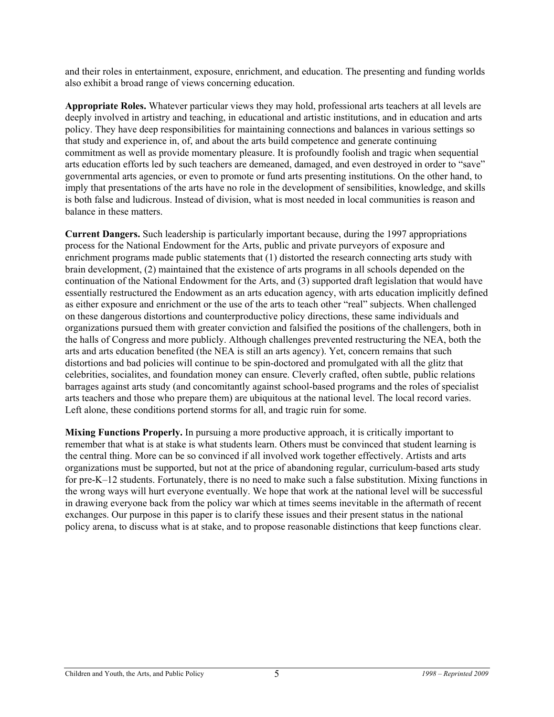and their roles in entertainment, exposure, enrichment, and education. The presenting and funding worlds also exhibit a broad range of views concerning education.

**Appropriate Roles.** Whatever particular views they may hold, professional arts teachers at all levels are deeply involved in artistry and teaching, in educational and artistic institutions, and in education and arts policy. They have deep responsibilities for maintaining connections and balances in various settings so that study and experience in, of, and about the arts build competence and generate continuing commitment as well as provide momentary pleasure. It is profoundly foolish and tragic when sequential arts education efforts led by such teachers are demeaned, damaged, and even destroyed in order to "save" governmental arts agencies, or even to promote or fund arts presenting institutions. On the other hand, to imply that presentations of the arts have no role in the development of sensibilities, knowledge, and skills is both false and ludicrous. Instead of division, what is most needed in local communities is reason and balance in these matters.

**Current Dangers.** Such leadership is particularly important because, during the 1997 appropriations process for the National Endowment for the Arts, public and private purveyors of exposure and enrichment programs made public statements that (1) distorted the research connecting arts study with brain development, (2) maintained that the existence of arts programs in all schools depended on the continuation of the National Endowment for the Arts, and (3) supported draft legislation that would have essentially restructured the Endowment as an arts education agency, with arts education implicitly defined as either exposure and enrichment or the use of the arts to teach other "real" subjects. When challenged on these dangerous distortions and counterproductive policy directions, these same individuals and organizations pursued them with greater conviction and falsified the positions of the challengers, both in the halls of Congress and more publicly. Although challenges prevented restructuring the NEA, both the arts and arts education benefited (the NEA is still an arts agency). Yet, concern remains that such distortions and bad policies will continue to be spin-doctored and promulgated with all the glitz that celebrities, socialites, and foundation money can ensure. Cleverly crafted, often subtle, public relations barrages against arts study (and concomitantly against school-based programs and the roles of specialist arts teachers and those who prepare them) are ubiquitous at the national level. The local record varies. Left alone, these conditions portend storms for all, and tragic ruin for some.

**Mixing Functions Properly.** In pursuing a more productive approach, it is critically important to remember that what is at stake is what students learn. Others must be convinced that student learning is the central thing. More can be so convinced if all involved work together effectively. Artists and arts organizations must be supported, but not at the price of abandoning regular, curriculum-based arts study for pre-K–12 students. Fortunately, there is no need to make such a false substitution. Mixing functions in the wrong ways will hurt everyone eventually. We hope that work at the national level will be successful in drawing everyone back from the policy war which at times seems inevitable in the aftermath of recent exchanges. Our purpose in this paper is to clarify these issues and their present status in the national policy arena, to discuss what is at stake, and to propose reasonable distinctions that keep functions clear.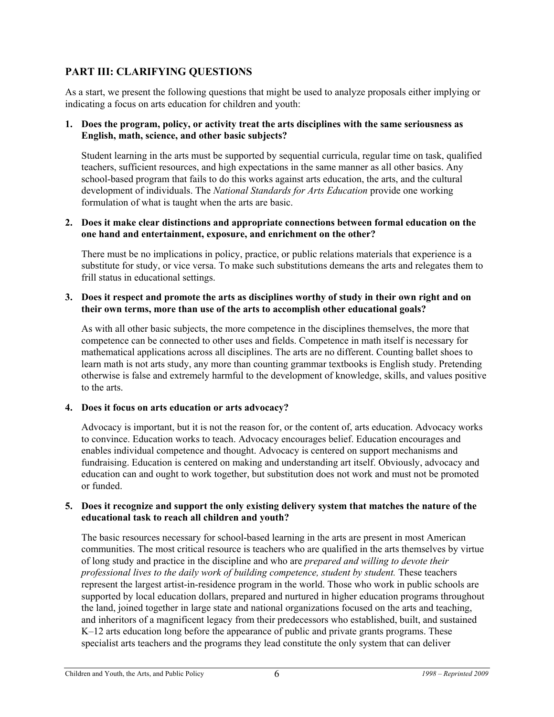### **PART III: CLARIFYING QUESTIONS**

As a start, we present the following questions that might be used to analyze proposals either implying or indicating a focus on arts education for children and youth:

#### **1. Does the program, policy, or activity treat the arts disciplines with the same seriousness as English, math, science, and other basic subjects?**

Student learning in the arts must be supported by sequential curricula, regular time on task, qualified teachers, sufficient resources, and high expectations in the same manner as all other basics. Any school-based program that fails to do this works against arts education, the arts, and the cultural development of individuals. The *National Standards for Arts Education* provide one working formulation of what is taught when the arts are basic.

#### **2. Does it make clear distinctions and appropriate connections between formal education on the one hand and entertainment, exposure, and enrichment on the other?**

There must be no implications in policy, practice, or public relations materials that experience is a substitute for study, or vice versa. To make such substitutions demeans the arts and relegates them to frill status in educational settings.

#### **3. Does it respect and promote the arts as disciplines worthy of study in their own right and on their own terms, more than use of the arts to accomplish other educational goals?**

As with all other basic subjects, the more competence in the disciplines themselves, the more that competence can be connected to other uses and fields. Competence in math itself is necessary for mathematical applications across all disciplines. The arts are no different. Counting ballet shoes to learn math is not arts study, any more than counting grammar textbooks is English study. Pretending otherwise is false and extremely harmful to the development of knowledge, skills, and values positive to the arts.

#### **4. Does it focus on arts education or arts advocacy?**

Advocacy is important, but it is not the reason for, or the content of, arts education. Advocacy works to convince. Education works to teach. Advocacy encourages belief. Education encourages and enables individual competence and thought. Advocacy is centered on support mechanisms and fundraising. Education is centered on making and understanding art itself. Obviously, advocacy and education can and ought to work together, but substitution does not work and must not be promoted or funded.

#### **5. Does it recognize and support the only existing delivery system that matches the nature of the educational task to reach all children and youth?**

The basic resources necessary for school-based learning in the arts are present in most American communities. The most critical resource is teachers who are qualified in the arts themselves by virtue of long study and practice in the discipline and who are *prepared and willing to devote their professional lives to the daily work of building competence, student by student.* These teachers represent the largest artist-in-residence program in the world. Those who work in public schools are supported by local education dollars, prepared and nurtured in higher education programs throughout the land, joined together in large state and national organizations focused on the arts and teaching, and inheritors of a magnificent legacy from their predecessors who established, built, and sustained K–12 arts education long before the appearance of public and private grants programs. These specialist arts teachers and the programs they lead constitute the only system that can deliver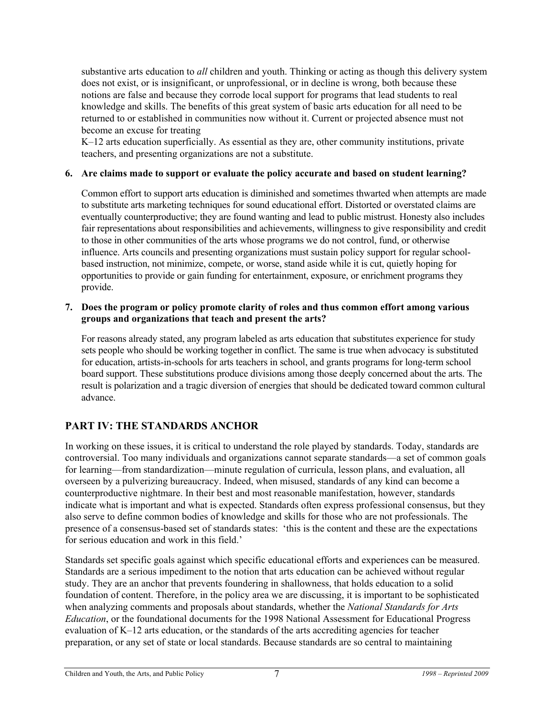substantive arts education to *all* children and youth. Thinking or acting as though this delivery system does not exist, or is insignificant, or unprofessional, or in decline is wrong, both because these notions are false and because they corrode local support for programs that lead students to real knowledge and skills. The benefits of this great system of basic arts education for all need to be returned to or established in communities now without it. Current or projected absence must not become an excuse for treating

K–12 arts education superficially. As essential as they are, other community institutions, private teachers, and presenting organizations are not a substitute.

#### **6. Are claims made to support or evaluate the policy accurate and based on student learning?**

Common effort to support arts education is diminished and sometimes thwarted when attempts are made to substitute arts marketing techniques for sound educational effort. Distorted or overstated claims are eventually counterproductive; they are found wanting and lead to public mistrust. Honesty also includes fair representations about responsibilities and achievements, willingness to give responsibility and credit to those in other communities of the arts whose programs we do not control, fund, or otherwise influence. Arts councils and presenting organizations must sustain policy support for regular schoolbased instruction, not minimize, compete, or worse, stand aside while it is cut, quietly hoping for opportunities to provide or gain funding for entertainment, exposure, or enrichment programs they provide.

#### **7. Does the program or policy promote clarity of roles and thus common effort among various groups and organizations that teach and present the arts?**

For reasons already stated, any program labeled as arts education that substitutes experience for study sets people who should be working together in conflict. The same is true when advocacy is substituted for education, artists-in-schools for arts teachers in school, and grants programs for long-term school board support. These substitutions produce divisions among those deeply concerned about the arts. The result is polarization and a tragic diversion of energies that should be dedicated toward common cultural advance.

## **PART IV: THE STANDARDS ANCHOR**

In working on these issues, it is critical to understand the role played by standards. Today, standards are controversial. Too many individuals and organizations cannot separate standards—a set of common goals for learning—from standardization—minute regulation of curricula, lesson plans, and evaluation, all overseen by a pulverizing bureaucracy. Indeed, when misused, standards of any kind can become a counterproductive nightmare. In their best and most reasonable manifestation, however, standards indicate what is important and what is expected. Standards often express professional consensus, but they also serve to define common bodies of knowledge and skills for those who are not professionals. The presence of a consensus-based set of standards states: 'this is the content and these are the expectations for serious education and work in this field.'

Standards set specific goals against which specific educational efforts and experiences can be measured. Standards are a serious impediment to the notion that arts education can be achieved without regular study. They are an anchor that prevents foundering in shallowness, that holds education to a solid foundation of content. Therefore, in the policy area we are discussing, it is important to be sophisticated when analyzing comments and proposals about standards, whether the *National Standards for Arts Education*, or the foundational documents for the 1998 National Assessment for Educational Progress evaluation of K–12 arts education, or the standards of the arts accrediting agencies for teacher preparation, or any set of state or local standards. Because standards are so central to maintaining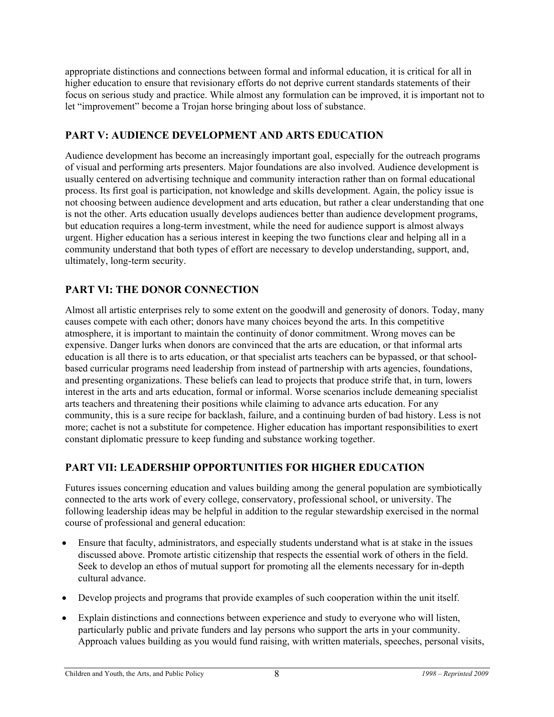appropriate distinctions and connections between formal and informal education, it is critical for all in higher education to ensure that revisionary efforts do not deprive current standards statements of their focus on serious study and practice. While almost any formulation can be improved, it is important not to let "improvement" become a Trojan horse bringing about loss of substance.

## **PART V: AUDIENCE DEVELOPMENT AND ARTS EDUCATION**

Audience development has become an increasingly important goal, especially for the outreach programs of visual and performing arts presenters. Major foundations are also involved. Audience development is usually centered on advertising technique and community interaction rather than on formal educational process. Its first goal is participation, not knowledge and skills development. Again, the policy issue is not choosing between audience development and arts education, but rather a clear understanding that one is not the other. Arts education usually develops audiences better than audience development programs, but education requires a long-term investment, while the need for audience support is almost always urgent. Higher education has a serious interest in keeping the two functions clear and helping all in a community understand that both types of effort are necessary to develop understanding, support, and, ultimately, long-term security.

## **PART VI: THE DONOR CONNECTION**

Almost all artistic enterprises rely to some extent on the goodwill and generosity of donors. Today, many causes compete with each other; donors have many choices beyond the arts. In this competitive atmosphere, it is important to maintain the continuity of donor commitment. Wrong moves can be expensive. Danger lurks when donors are convinced that the arts are education, or that informal arts education is all there is to arts education, or that specialist arts teachers can be bypassed, or that schoolbased curricular programs need leadership from instead of partnership with arts agencies, foundations, and presenting organizations. These beliefs can lead to projects that produce strife that, in turn, lowers interest in the arts and arts education, formal or informal. Worse scenarios include demeaning specialist arts teachers and threatening their positions while claiming to advance arts education. For any community, this is a sure recipe for backlash, failure, and a continuing burden of bad history. Less is not more; cachet is not a substitute for competence. Higher education has important responsibilities to exert constant diplomatic pressure to keep funding and substance working together.

## **PART VII: LEADERSHIP OPPORTUNITIES FOR HIGHER EDUCATION**

Futures issues concerning education and values building among the general population are symbiotically connected to the arts work of every college, conservatory, professional school, or university. The following leadership ideas may be helpful in addition to the regular stewardship exercised in the normal course of professional and general education:

- Ensure that faculty, administrators, and especially students understand what is at stake in the issues discussed above. Promote artistic citizenship that respects the essential work of others in the field. Seek to develop an ethos of mutual support for promoting all the elements necessary for in-depth cultural advance.
- Develop projects and programs that provide examples of such cooperation within the unit itself.
- Explain distinctions and connections between experience and study to everyone who will listen, particularly public and private funders and lay persons who support the arts in your community. Approach values building as you would fund raising, with written materials, speeches, personal visits,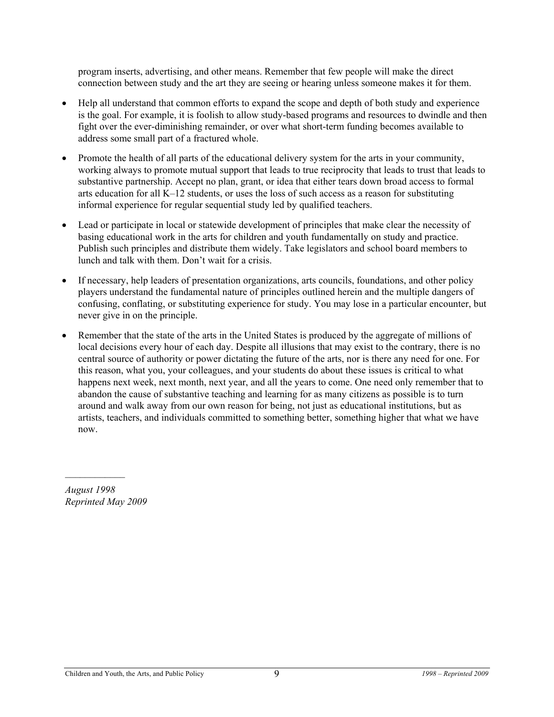program inserts, advertising, and other means. Remember that few people will make the direct connection between study and the art they are seeing or hearing unless someone makes it for them.

- Help all understand that common efforts to expand the scope and depth of both study and experience is the goal. For example, it is foolish to allow study-based programs and resources to dwindle and then fight over the ever-diminishing remainder, or over what short-term funding becomes available to address some small part of a fractured whole.
- Promote the health of all parts of the educational delivery system for the arts in your community, working always to promote mutual support that leads to true reciprocity that leads to trust that leads to substantive partnership. Accept no plan, grant, or idea that either tears down broad access to formal arts education for all K–12 students, or uses the loss of such access as a reason for substituting informal experience for regular sequential study led by qualified teachers.
- Lead or participate in local or statewide development of principles that make clear the necessity of basing educational work in the arts for children and youth fundamentally on study and practice. Publish such principles and distribute them widely. Take legislators and school board members to lunch and talk with them. Don't wait for a crisis.
- If necessary, help leaders of presentation organizations, arts councils, foundations, and other policy players understand the fundamental nature of principles outlined herein and the multiple dangers of confusing, conflating, or substituting experience for study. You may lose in a particular encounter, but never give in on the principle.
- Remember that the state of the arts in the United States is produced by the aggregate of millions of local decisions every hour of each day. Despite all illusions that may exist to the contrary, there is no central source of authority or power dictating the future of the arts, nor is there any need for one. For this reason, what you, your colleagues, and your students do about these issues is critical to what happens next week, next month, next year, and all the years to come. One need only remember that to abandon the cause of substantive teaching and learning for as many citizens as possible is to turn around and walk away from our own reason for being, not just as educational institutions, but as artists, teachers, and individuals committed to something better, something higher that what we have now.

*August 1998 Reprinted May 2009* 

*\_\_\_\_\_\_\_\_\_\_\_\_*